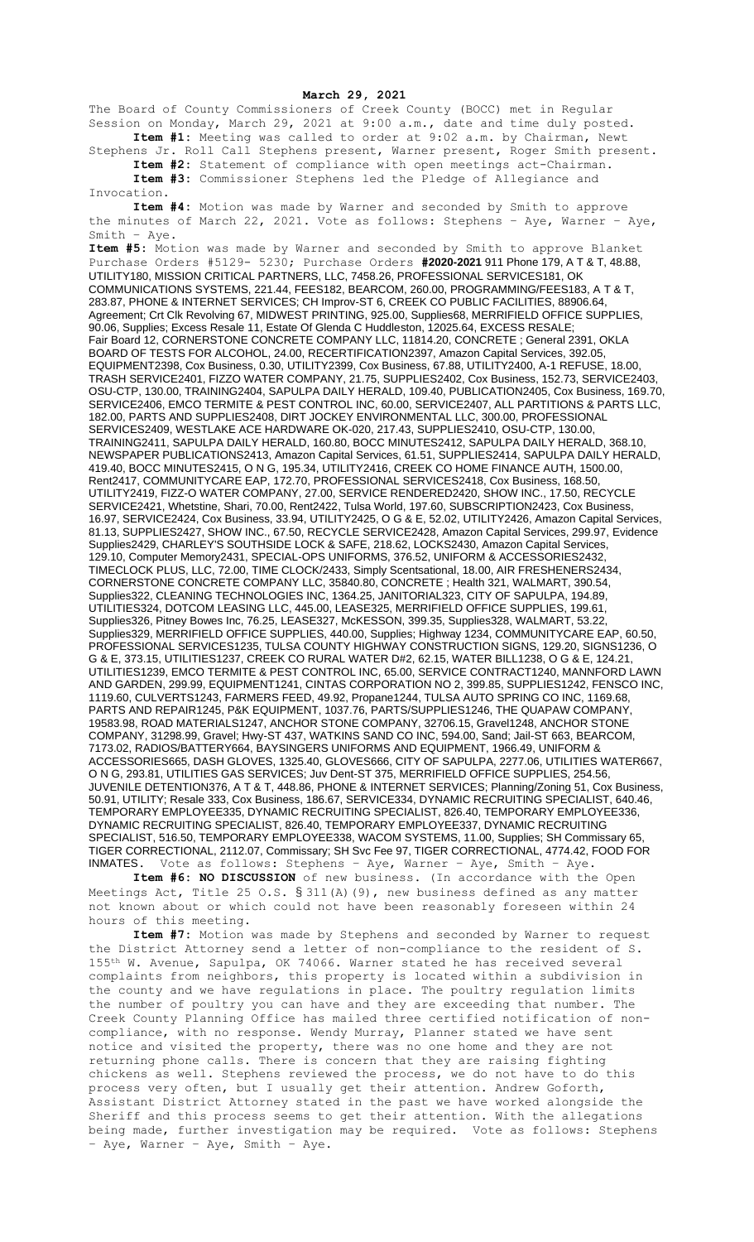**March 29, 2021**

The Board of County Commissioners of Creek County (BOCC) met in Regular Session on Monday, March 29, 2021 at 9:00 a.m., date and time duly posted. **Item #1:** Meeting was called to order at 9:02 a.m. by Chairman, Newt

Stephens Jr. Roll Call Stephens present, Warner present, Roger Smith present. **Item #2:** Statement of compliance with open meetings act-Chairman.

**Item #3:** Commissioner Stephens led the Pledge of Allegiance and Invocation.

**Item #4:** Motion was made by Warner and seconded by Smith to approve the minutes of March 22, 2021. Vote as follows: Stephens – Aye, Warner – Aye, Smith – Aye.

**Item #5:** Motion was made by Warner and seconded by Smith to approve Blanket Purchase Orders #5129- 5230; Purchase Orders **#2020-2021** 911 Phone 179, A T & T, 48.88, UTILITY180, MISSION CRITICAL PARTNERS, LLC, 7458.26, PROFESSIONAL SERVICES181, OK COMMUNICATIONS SYSTEMS, 221.44, FEES182, BEARCOM, 260.00, PROGRAMMING/FEES183, A T & T, 283.87, PHONE & INTERNET SERVICES; CH Improv-ST 6, CREEK CO PUBLIC FACILITIES, 88906.64, Agreement; Crt Clk Revolving 67, MIDWEST PRINTING, 925.00, Supplies68, MERRIFIELD OFFICE SUPPLIES, 90.06, Supplies; Excess Resale 11, Estate Of Glenda C Huddleston, 12025.64, EXCESS RESALE; Fair Board 12, CORNERSTONE CONCRETE COMPANY LLC, 11814.20, CONCRETE ; General 2391, OKLA BOARD OF TESTS FOR ALCOHOL, 24.00, RECERTIFICATION2397, Amazon Capital Services, 392.05, EQUIPMENT2398, Cox Business, 0.30, UTILITY2399, Cox Business, 67.88, UTILITY2400, A-1 REFUSE, 18.00, TRASH SERVICE2401, FIZZO WATER COMPANY, 21.75, SUPPLIES2402, Cox Business, 152.73, SERVICE2403, OSU-CTP, 130.00, TRAINING2404, SAPULPA DAILY HERALD, 109.40, PUBLICATION2405, Cox Business, 169.70, SERVICE2406, EMCO TERMITE & PEST CONTROL INC, 60.00, SERVICE2407, ALL PARTITIONS & PARTS LLC, 182.00, PARTS AND SUPPLIES2408, DIRT JOCKEY ENVIRONMENTAL LLC, 300.00, PROFESSIONAL SERVICES2409, WESTLAKE ACE HARDWARE OK-020, 217.43, SUPPLIES2410, OSU-CTP, 130.00, TRAINING2411, SAPULPA DAILY HERALD, 160.80, BOCC MINUTES2412, SAPULPA DAILY HERALD, 368.10, NEWSPAPER PUBLICATIONS2413, Amazon Capital Services, 61.51, SUPPLIES2414, SAPULPA DAILY HERALD, 419.40, BOCC MINUTES2415, O N G, 195.34, UTILITY2416, CREEK CO HOME FINANCE AUTH, 1500.00, Rent2417, COMMUNITYCARE EAP, 172.70, PROFESSIONAL SERVICES2418, Cox Business, 168.50, UTILITY2419, FIZZ-O WATER COMPANY, 27.00, SERVICE RENDERED2420, SHOW INC., 17.50, RECYCLE SERVICE2421, Whetstine, Shari, 70.00, Rent2422, Tulsa World, 197.60, SUBSCRIPTION2423, Cox Business, 16.97, SERVICE2424, Cox Business, 33.94, UTILITY2425, O G & E, 52.02, UTILITY2426, Amazon Capital Services, 81.13, SUPPLIES2427, SHOW INC., 67.50, RECYCLE SERVICE2428, Amazon Capital Services, 299.97, Evidence Supplies2429, CHARLEY'S SOUTHSIDE LOCK & SAFE, 218.62, LOCKS2430, Amazon Capital Services, 129.10, Computer Memory2431, SPECIAL-OPS UNIFORMS, 376.52, UNIFORM & ACCESSORIES2432, TIMECLOCK PLUS, LLC, 72.00, TIME CLOCK/2433, Simply Scentsational, 18.00, AIR FRESHENERS2434, CORNERSTONE CONCRETE COMPANY LLC, 35840.80, CONCRETE ; Health 321, WALMART, 390.54, Supplies322, CLEANING TECHNOLOGIES INC, 1364.25, JANITORIAL323, CITY OF SAPULPA, 194.89, UTILITIES324, DOTCOM LEASING LLC, 445.00, LEASE325, MERRIFIELD OFFICE SUPPLIES, 199.61, Supplies326, Pitney Bowes Inc, 76.25, LEASE327, McKESSON, 399.35, Supplies328, WALMART, 53.22, Supplies329, MERRIFIELD OFFICE SUPPLIES, 440.00, Supplies; Highway 1234, COMMUNITYCARE EAP, 60.50, PROFESSIONAL SERVICES1235, TULSA COUNTY HIGHWAY CONSTRUCTION SIGNS, 129.20, SIGNS1236, O G & E, 373.15, UTILITIES1237, CREEK CO RURAL WATER D#2, 62.15, WATER BILL1238, O G & E, 124.21, UTILITIES1239, EMCO TERMITE & PEST CONTROL INC, 65.00, SERVICE CONTRACT1240, MANNFORD LAWN AND GARDEN, 299.99, EQUIPMENT1241, CINTAS CORPORATION NO 2, 399.85, SUPPLIES1242, FENSCO INC, 1119.60, CULVERTS1243, FARMERS FEED, 49.92, Propane1244, TULSA AUTO SPRING CO INC, 1169.68, PARTS AND REPAIR1245, P&K EQUIPMENT, 1037.76, PARTS/SUPPLIES1246, THE QUAPAW COMPANY, 19583.98, ROAD MATERIALS1247, ANCHOR STONE COMPANY, 32706.15, Gravel1248, ANCHOR STONE COMPANY, 31298.99, Gravel; Hwy-ST 437, WATKINS SAND CO INC, 594.00, Sand; Jail-ST 663, BEARCOM, 7173.02, RADIOS/BATTERY664, BAYSINGERS UNIFORMS AND EQUIPMENT, 1966.49, UNIFORM & ACCESSORIES665, DASH GLOVES, 1325.40, GLOVES666, CITY OF SAPULPA, 2277.06, UTILITIES WATER667, O N G, 293.81, UTILITIES GAS SERVICES; Juv Dent-ST 375, MERRIFIELD OFFICE SUPPLIES, 254.56, JUVENILE DETENTION376, A T & T, 448.86, PHONE & INTERNET SERVICES; Planning/Zoning 51, Cox Business, 50.91, UTILITY; Resale 333, Cox Business, 186.67, SERVICE334, DYNAMIC RECRUITING SPECIALIST, 640.46, TEMPORARY EMPLOYEE335, DYNAMIC RECRUITING SPECIALIST, 826.40, TEMPORARY EMPLOYEE336, DYNAMIC RECRUITING SPECIALIST, 826.40, TEMPORARY EMPLOYEE337, DYNAMIC RECRUITING SPECIALIST, 516.50, TEMPORARY EMPLOYEE338, WACOM SYSTEMS, 11.00, Supplies; SH Commissary 65, TIGER CORRECTIONAL, 2112.07, Commissary; SH Svc Fee 97, TIGER CORRECTIONAL, 4774.42, FOOD FOR INMATES. Vote as follows: Stephens – Aye, Warner – Aye, Smith – Aye.

**Item #6: NO DISCUSSION** of new business. (In accordance with the Open Meetings Act, Title 25 O.S.  $\S 311(A)$  (9), new business defined as any matter not known about or which could not have been reasonably foreseen within 24 hours of this meeting.

**Item #7:** Motion was made by Stephens and seconded by Warner to request the District Attorney send a letter of non-compliance to the resident of S. 155th W. Avenue, Sapulpa, OK 74066. Warner stated he has received several complaints from neighbors, this property is located within a subdivision in the county and we have regulations in place. The poultry regulation limits the number of poultry you can have and they are exceeding that number. The Creek County Planning Office has mailed three certified notification of noncompliance, with no response. Wendy Murray, Planner stated we have sent notice and visited the property, there was no one home and they are not returning phone calls. There is concern that they are raising fighting chickens as well. Stephens reviewed the process, we do not have to do this process very often, but I usually get their attention. Andrew Goforth, Assistant District Attorney stated in the past we have worked alongside the Sheriff and this process seems to get their attention. With the allegations being made, further investigation may be required. Vote as follows: Stephens – Aye, Warner – Aye, Smith – Aye.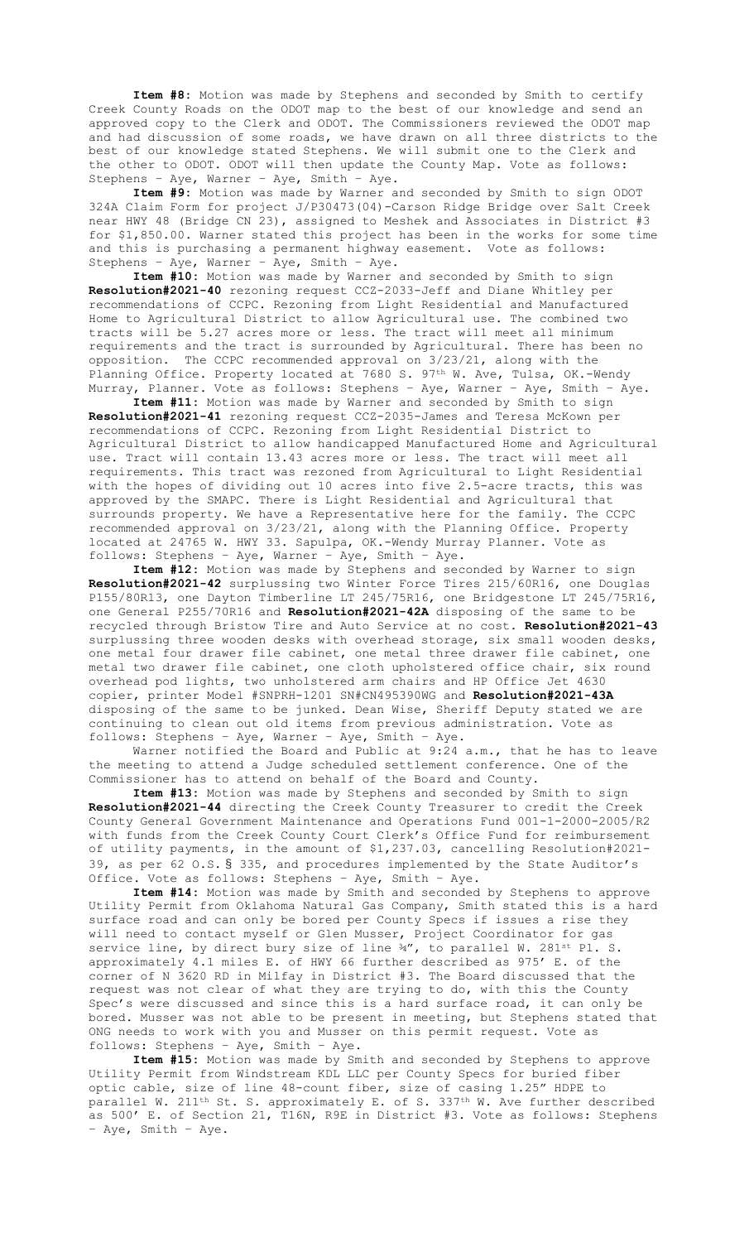**Item #8:** Motion was made by Stephens and seconded by Smith to certify Creek County Roads on the ODOT map to the best of our knowledge and send an approved copy to the Clerk and ODOT. The Commissioners reviewed the ODOT map and had discussion of some roads, we have drawn on all three districts to the best of our knowledge stated Stephens. We will submit one to the Clerk and the other to ODOT. ODOT will then update the County Map. Vote as follows: Stephens – Aye, Warner – Aye, Smith – Aye.

**Item #9:** Motion was made by Warner and seconded by Smith to sign ODOT 324A Claim Form for project J/P30473(04)-Carson Ridge Bridge over Salt Creek near HWY 48 (Bridge CN 23), assigned to Meshek and Associates in District #3 for \$1,850.00. Warner stated this project has been in the works for some time and this is purchasing a permanent highway easement. Vote as follows: Stephens – Aye, Warner – Aye, Smith – Aye.

**Item #10:** Motion was made by Warner and seconded by Smith to sign **Resolution#2021-40** rezoning request CCZ-2033-Jeff and Diane Whitley per recommendations of CCPC. Rezoning from Light Residential and Manufactured Home to Agricultural District to allow Agricultural use. The combined two tracts will be 5.27 acres more or less. The tract will meet all minimum requirements and the tract is surrounded by Agricultural. There has been no opposition. The CCPC recommended approval on 3/23/21, along with the Planning Office. Property located at 7680 S. 97<sup>th</sup> W. Ave, Tulsa, OK.-Wendy Murray, Planner. Vote as follows: Stephens – Aye, Warner – Aye, Smith – Aye.

**Item #11:** Motion was made by Warner and seconded by Smith to sign **Resolution#2021-41** rezoning request CCZ-2035-James and Teresa McKown per recommendations of CCPC. Rezoning from Light Residential District to Agricultural District to allow handicapped Manufactured Home and Agricultural use. Tract will contain 13.43 acres more or less. The tract will meet all requirements. This tract was rezoned from Agricultural to Light Residential with the hopes of dividing out 10 acres into five 2.5-acre tracts, this was approved by the SMAPC. There is Light Residential and Agricultural that surrounds property. We have a Representative here for the family. The CCPC recommended approval on 3/23/21, along with the Planning Office. Property located at 24765 W. HWY 33. Sapulpa, OK.-Wendy Murray Planner. Vote as follows: Stephens – Aye, Warner – Aye, Smith – Aye.

**Item #12:** Motion was made by Stephens and seconded by Warner to sign **Resolution#2021-42** surplussing two Winter Force Tires 215/60R16, one Douglas P155/80R13, one Dayton Timberline LT 245/75R16, one Bridgestone LT 245/75R16, one General P255/70R16 and **Resolution#2021-42A** disposing of the same to be recycled through Bristow Tire and Auto Service at no cost. **Resolution#2021-43** surplussing three wooden desks with overhead storage, six small wooden desks, one metal four drawer file cabinet, one metal three drawer file cabinet, one metal two drawer file cabinet, one cloth upholstered office chair, six round overhead pod lights, two unholstered arm chairs and HP Office Jet 4630 copier, printer Model #SNPRH-1201 SN#CN495390WG and **Resolution#2021-43A** disposing of the same to be junked. Dean Wise, Sheriff Deputy stated we are continuing to clean out old items from previous administration. Vote as follows: Stephens – Aye, Warner – Aye, Smith – Aye.

Warner notified the Board and Public at 9:24 a.m., that he has to leave the meeting to attend a Judge scheduled settlement conference. One of the Commissioner has to attend on behalf of the Board and County.

**Item #13:** Motion was made by Stephens and seconded by Smith to sign **Resolution#2021-44** directing the Creek County Treasurer to credit the Creek County General Government Maintenance and Operations Fund 001-1-2000-2005/R2 with funds from the Creek County Court Clerk's Office Fund for reimbursement of utility payments, in the amount of \$1,237.03, cancelling Resolution#2021- 39, as per 62 O.S. § 335, and procedures implemented by the State Auditor's Office. Vote as follows: Stephens – Aye, Smith – Aye.

**Item #14:** Motion was made by Smith and seconded by Stephens to approve Utility Permit from Oklahoma Natural Gas Company, Smith stated this is a hard surface road and can only be bored per County Specs if issues a rise they will need to contact myself or Glen Musser, Project Coordinator for gas service line, by direct bury size of line ¾", to parallel W. 281<sup>st</sup> Pl. S. approximately 4.1 miles E. of HWY 66 further described as 975' E. of the corner of N 3620 RD in Milfay in District #3. The Board discussed that the request was not clear of what they are trying to do, with this the County Spec's were discussed and since this is a hard surface road, it can only be bored. Musser was not able to be present in meeting, but Stephens stated that ONG needs to work with you and Musser on this permit request. Vote as follows: Stephens – Aye, Smith – Aye.

**Item #15:** Motion was made by Smith and seconded by Stephens to approve Utility Permit from Windstream KDL LLC per County Specs for buried fiber optic cable, size of line 48-count fiber, size of casing 1.25" HDPE to parallel W. 211<sup>th</sup> St. S. approximately E. of S. 337<sup>th</sup> W. Ave further described as 500' E. of Section 21, T16N, R9E in District #3. Vote as follows: Stephens – Aye, Smith – Aye.